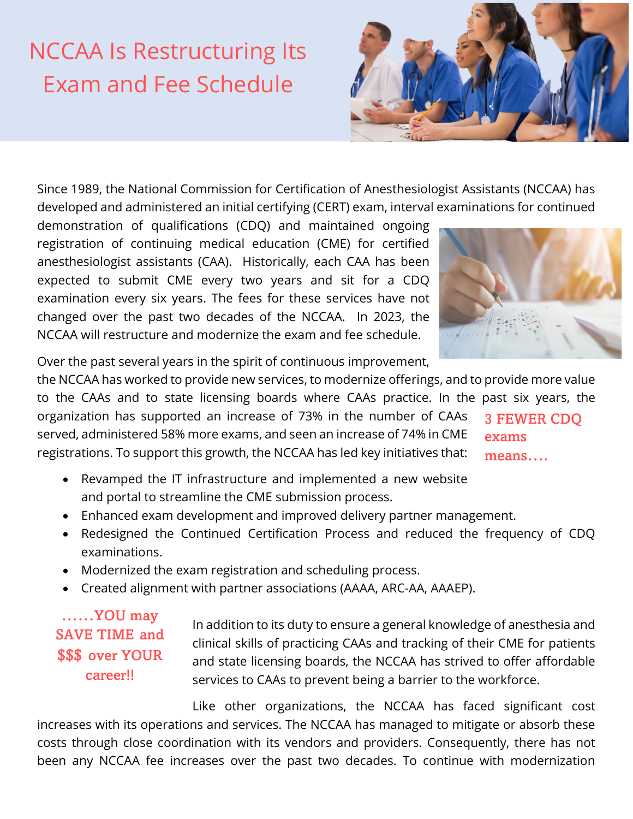## NCCAA Is Restructuring Its Exam and Fee Schedule



Since 1989, the National Commission for Certification of Anesthesiologist Assistants (NCCAA) has developed and administered an initial certifying (CERT) exam, interval examinations for continued

demonstration of qualifications (CDQ) and maintained ongoing registration of continuing medical education (CME) for certified anesthesiologist assistants (CAA). Historically, each CAA has been expected to submit CME every two years and sit for a CDQ examination every six years. The fees for these services have not changed over the past two decades of the NCCAA. In 2023, the NCCAA will restructure and modernize the exam and fee schedule.



Over the past several years in the spirit of continuous improvement,

the NCCAA has worked to provide new services, to modernize offerings, and to provide more value to the CAAs and to state licensing boards where CAAs practice. In the past six years, the organization has supported an increase of 73% in the number of CAAs served, administered 58% more exams, and seen an increase of 74% in CME registrations. To support this growth, the NCCAA has led key initiatives that: 3 FEWER CDQ exams means….

- Revamped the IT infrastructure and implemented a new website and portal to streamline the CME submission process.
- Enhanced exam development and improved delivery partner management.
- Redesigned the Continued Certification Process and reduced the frequency of CDQ examinations.
- Modernized the exam registration and scheduling process.
- Created alignment with partner associations (AAAA, ARC-AA, AAAEP).

……YOU may SAVE TIME and \$\$\$ over YOUR career!!

In addition to its duty to ensure a general knowledge of anesthesia and clinical skills of practicing CAAs and tracking of their CME for patients and state licensing boards, the NCCAA has strived to offer affordable services to CAAs to prevent being a barrier to the workforce.

Like other organizations, the NCCAA has faced significant cost increases with its operations and services. The NCCAA has managed to mitigate or absorb these costs through close coordination with its vendors and providers. Consequently, there has not been any NCCAA fee increases over the past two decades. To continue with modernization